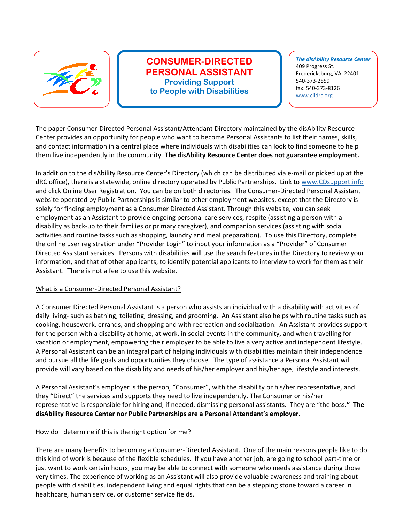

# **CONSUMER-DIRECTED PERSONAL ASSISTANT Providing Support to People with Disabilities**

*The disAbility Resource Center* 409 Progress St. Fredericksburg, VA 22401 540-373-2559 fax: 540-373-8126 www.cildrc.org

The paper Consumer-Directed Personal Assistant/Attendant Directory maintained by the disAbility Resource Center provides an opportunity for people who want to become Personal Assistants to list their names, skills, and contact information in a central place where individuals with disabilities can look to find someone to help them live independently in the community. **The disAbility Resource Center does not guarantee employment.**

In addition to the disAbility Resource Center's Directory (which can be distributed via e-mail or picked up at the dRC office), there is a statewide, online directory operated by Public Partnerships. Link to www.CDsupport.info and click Online User Registration. You can be on both directories. The Consumer-Directed Personal Assistant website operated by Public Partnerships is similar to other employment websites, except that the Directory is solely for finding employment as a Consumer Directed Assistant. Through this website, you can seek employment as an Assistant to provide ongoing personal care services, respite (assisting a person with a disability as back-up to their families or primary caregiver), and companion services (assisting with social activities and routine tasks such as shopping, laundry and meal preparation). To use this Directory, complete the online user registration under "Provider Login" to input your information as a "Provider" of Consumer Directed Assistant services. Persons with disabilities will use the search features in the Directory to review your information, and that of other applicants, to identify potential applicants to interview to work for them as their Assistant. There is not a fee to use this website.

## What is a Consumer-Directed Personal Assistant?

A Consumer Directed Personal Assistant is a person who assists an individual with a disability with activities of daily living- such as bathing, toileting, dressing, and grooming. An Assistant also helps with routine tasks such as cooking, housework, errands, and shopping and with recreation and socialization. An Assistant provides support for the person with a disability at home, at work, in social events in the community, and when travelling for vacation or employment, empowering their employer to be able to live a very active and independent lifestyle. A Personal Assistant can be an integral part of helping individuals with disabilities maintain their independence and pursue all the life goals and opportunities they choose. The type of assistance a Personal Assistant will provide will vary based on the disability and needs of his/her employer and his/her age, lifestyle and interests.

A Personal Assistant's employer is the person, "Consumer", with the disability or his/her representative, and they "Direct" the services and supports they need to live independently. The Consumer or his/her representative is responsible for hiring and, if needed, dismissing personal assistants. They are "the boss**." The disAbility Resource Center nor Public Partnerships are a Personal Attendant's employer.** 

## How do I determine if this is the right option for me?

There are many benefits to becoming a Consumer-Directed Assistant. One of the main reasons people like to do this kind of work is because of the flexible schedules. If you have another job, are going to school part-time or just want to work certain hours, you may be able to connect with someone who needs assistance during those very times. The experience of working as an Assistant will also provide valuable awareness and training about people with disabilities, independent living and equal rights that can be a stepping stone toward a career in healthcare, human service, or customer service fields.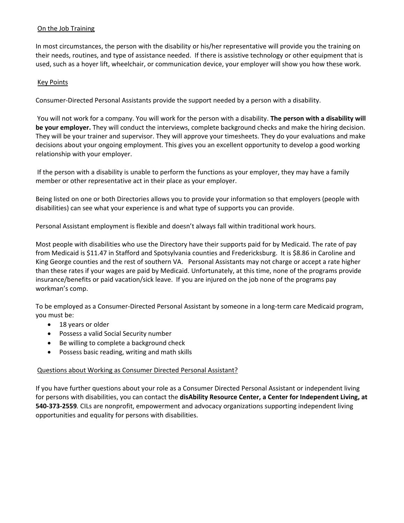# On the Job Training

In most circumstances, the person with the disability or his/her representative will provide you the training on their needs, routines, and type of assistance needed. If there is assistive technology or other equipment that is used, such as a hoyer lift, wheelchair, or communication device, your employer will show you how these work.

# Key Points

Consumer-Directed Personal Assistants provide the support needed by a person with a disability.

 You will not work for a company. You will work for the person with a disability. **The person with a disability will be your employer.** They will conduct the interviews, complete background checks and make the hiring decision. They will be your trainer and supervisor. They will approve your timesheets. They do your evaluations and make decisions about your ongoing employment. This gives you an excellent opportunity to develop a good working relationship with your employer.

 If the person with a disability is unable to perform the functions as your employer, they may have a family member or other representative act in their place as your employer.

Being listed on one or both Directories allows you to provide your information so that employers (people with disabilities) can see what your experience is and what type of supports you can provide.

Personal Assistant employment is flexible and doesn't always fall within traditional work hours.

Most people with disabilities who use the Directory have their supports paid for by Medicaid. The rate of pay from Medicaid is \$11.47 in Stafford and Spotsylvania counties and Fredericksburg. It is \$8.86 in Caroline and King George counties and the rest of southern VA. Personal Assistants may not charge or accept a rate higher than these rates if your wages are paid by Medicaid. Unfortunately, at this time, none of the programs provide insurance/benefits or paid vacation/sick leave. If you are injured on the job none of the programs pay workman's comp.

To be employed as a Consumer-Directed Personal Assistant by someone in a long-term care Medicaid program, you must be:

- 18 years or older
- Possess a valid Social Security number
- Be willing to complete a background check
- Possess basic reading, writing and math skills

## Questions about Working as Consumer Directed Personal Assistant?

If you have further questions about your role as a Consumer Directed Personal Assistant or independent living for persons with disabilities, you can contact the **disAbility Resource Center, a Center for Independent Living, at 540-373-2559***.* CILs are nonprofit, empowerment and advocacy organizations supporting independent living opportunities and equality for persons with disabilities.